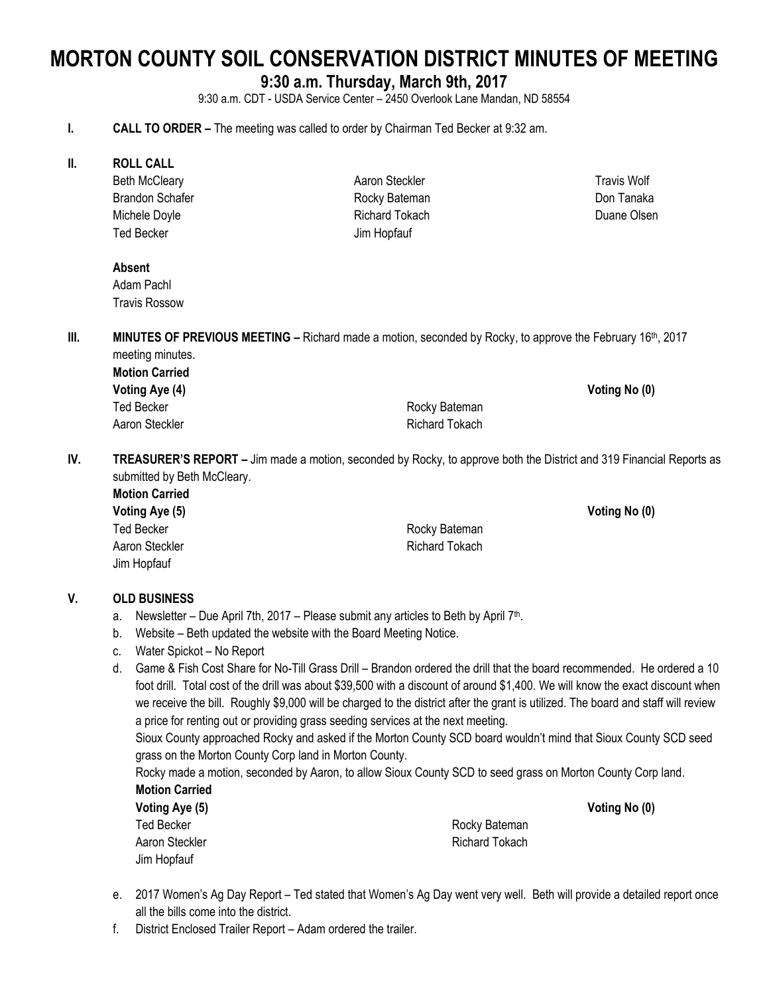# **MORTON COUNTY SOIL CONSERVATION DISTRICT MINUTES OF MEETING**

# **9:30 a.m. Thursday, March 9th, 2017**

9:30 a.m. CDT - USDA Service Center – 2450 Overlook Lane Mandan, ND 58554

#### **I. CALL TO ORDER –** The meeting was called to order by Chairman Ted Becker at 9:32 am.

**II. ROLL CALL**

Beth McCleary Brandon Schafer Michele Doyle Ted Becker

Aaron Steckler Rocky Bateman Richard Tokach Jim Hopfauf

#### **Absent**

Adam Pachl Travis Rossow

**III. MINUTES OF PREVIOUS MEETING –** Richard made a motion, seconded by Rocky, to approve the February 16th, 2017 meeting minutes.

| <b>Motion Carried</b> |                |
|-----------------------|----------------|
| Voting Aye (4)        |                |
| Ted Becker            | Rocky Bateman  |
| Aaron Steckler        | Richard Tokach |

**IV. TREASURER'S REPORT –** Jim made a motion, seconded by Rocky, to approve both the District and 319 Financial Reports as submitted by Beth McCleary.

**Motion Carried Voting Aye (5) Voting No (0)** Jim Hopfauf

Ted Becker **Rocky** Bateman Aaron Steckler **Richard Tokach** Richard Tokach

**Voting Aye (5) Voting No (0)**

**Voting Aye (4) Voting No (0)**

#### **V. OLD BUSINESS**

- a. Newsletter Due April 7th, 2017 Please submit any articles to Beth by April 7<sup>th</sup>.
- b. Website Beth updated the website with the Board Meeting Notice.
- c. Water Spickot No Report
- d. Game & Fish Cost Share for No-Till Grass Drill Brandon ordered the drill that the board recommended. He ordered a 10 foot drill. Total cost of the drill was about \$39,500 with a discount of around \$1,400. We will know the exact discount when we receive the bill. Roughly \$9,000 will be charged to the district after the grant is utilized. The board and staff will review a price for renting out or providing grass seeding services at the next meeting.

Sioux County approached Rocky and asked if the Morton County SCD board wouldn't mind that Sioux County SCD seed grass on the Morton County Corp land in Morton County.

Rocky made a motion, seconded by Aaron, to allow Sioux County SCD to seed grass on Morton County Corp land. **Motion Carried**

| Voting Aye (5) |
|----------------|
| Ted Becker     |
| Aaron Steckler |
| Jim Hopfauf    |

Rocky Bateman **Richard Tokach** 

- e. 2017 Women's Ag Day Report Ted stated that Women's Ag Day went very well. Beth will provide a detailed report once all the bills come into the district.
- f. District Enclosed Trailer Report Adam ordered the trailer.

Travis Wolf Don Tanaka Duane Olsen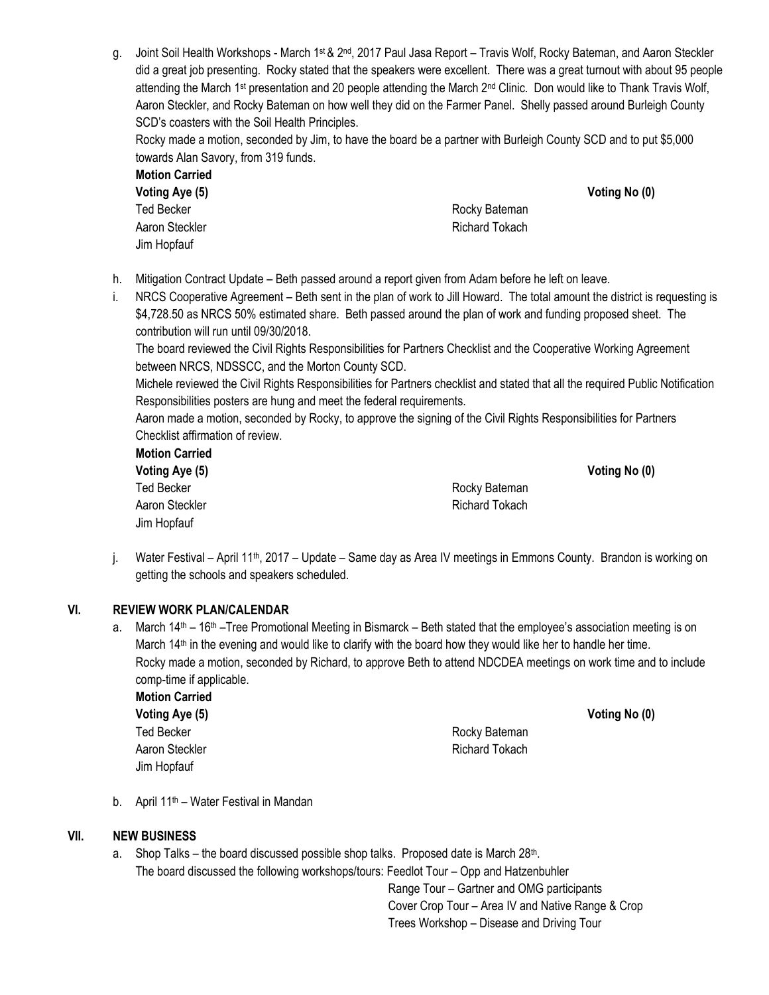g. Joint Soil Health Workshops - March 1st & 2nd, 2017 Paul Jasa Report – Travis Wolf, Rocky Bateman, and Aaron Steckler did a great job presenting. Rocky stated that the speakers were excellent. There was a great turnout with about 95 people attending the March 1<sup>st</sup> presentation and 20 people attending the March 2<sup>nd</sup> Clinic. Don would like to Thank Travis Wolf, Aaron Steckler, and Rocky Bateman on how well they did on the Farmer Panel. Shelly passed around Burleigh County SCD's coasters with the Soil Health Principles.

Rocky made a motion, seconded by Jim, to have the board be a partner with Burleigh County SCD and to put \$5,000 towards Alan Savory, from 319 funds.

| <b>Motion Carried</b> |
|-----------------------|
| Voting Aye (5)        |
| <b>Ted Becker</b>     |
| Aaron Steckler        |
| Jim Hopfauf           |

Rocky Bateman Richard Tokach

- h. Mitigation Contract Update Beth passed around a report given from Adam before he left on leave.
- i. NRCS Cooperative Agreement Beth sent in the plan of work to Jill Howard. The total amount the district is requesting is \$4,728.50 as NRCS 50% estimated share. Beth passed around the plan of work and funding proposed sheet. The contribution will run until 09/30/2018.

The board reviewed the Civil Rights Responsibilities for Partners Checklist and the Cooperative Working Agreement between NRCS, NDSSCC, and the Morton County SCD.

Michele reviewed the Civil Rights Responsibilities for Partners checklist and stated that all the required Public Notification Responsibilities posters are hung and meet the federal requirements.

Aaron made a motion, seconded by Rocky, to approve the signing of the Civil Rights Responsibilities for Partners Checklist affirmation of review.

**Motion Carried Voting Aye (5) Voting No (0)** Ted Becker **Rocky Bateman** Aaron Steckler **Richard Tokach** Richard Tokach Jim Hopfauf

**Voting Aye (5) Voting No (0)**

j. Water Festival – April 11<sup>th</sup>, 2017 – Update – Same day as Area IV meetings in Emmons County. Brandon is working on getting the schools and speakers scheduled.

# **VI. REVIEW WORK PLAN/CALENDAR**

a. March  $14<sup>th</sup> - 16<sup>th</sup> - T$ ree Promotional Meeting in Bismarck – Beth stated that the employee's association meeting is on March 14<sup>th</sup> in the evening and would like to clarify with the board how they would like her to handle her time. Rocky made a motion, seconded by Richard, to approve Beth to attend NDCDEA meetings on work time and to include comp-time if applicable.

**Motion Carried Voting Aye (5) Voting No (0)** Ted Becker **Rocky Bateman** Aaron Steckler **Richard Tokach** Richard Tokach Jim Hopfauf

b. April 11th – Water Festival in Mandan

#### **VII. NEW BUSINESS**

a. Shop Talks – the board discussed possible shop talks. Proposed date is March 28<sup>th</sup>. The board discussed the following workshops/tours: Feedlot Tour – Opp and Hatzenbuhler Range Tour – Gartner and OMG participants

 Cover Crop Tour – Area IV and Native Range & Crop Trees Workshop – Disease and Driving Tour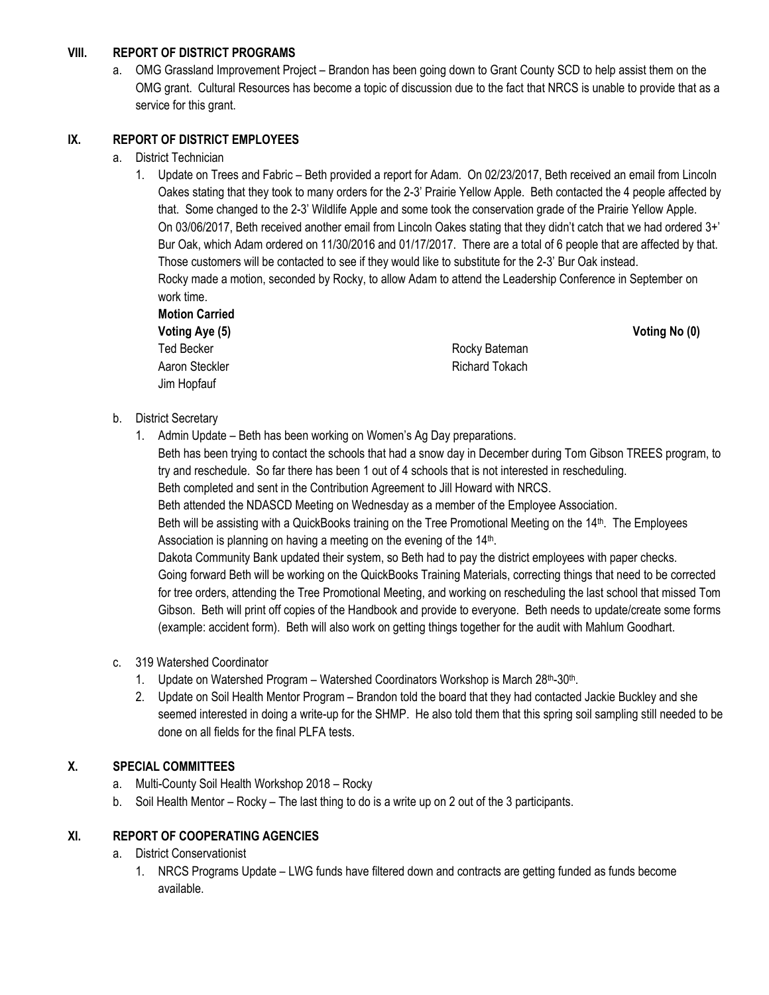## **VIII. REPORT OF DISTRICT PROGRAMS**

a. OMG Grassland Improvement Project – Brandon has been going down to Grant County SCD to help assist them on the OMG grant. Cultural Resources has become a topic of discussion due to the fact that NRCS is unable to provide that as a service for this grant.

### **IX. REPORT OF DISTRICT EMPLOYEES**

- a. District Technician
	- 1. Update on Trees and Fabric Beth provided a report for Adam. On 02/23/2017, Beth received an email from Lincoln Oakes stating that they took to many orders for the 2-3' Prairie Yellow Apple. Beth contacted the 4 people affected by that. Some changed to the 2-3' Wildlife Apple and some took the conservation grade of the Prairie Yellow Apple. On 03/06/2017, Beth received another email from Lincoln Oakes stating that they didn't catch that we had ordered 3+' Bur Oak, which Adam ordered on 11/30/2016 and 01/17/2017. There are a total of 6 people that are affected by that. Those customers will be contacted to see if they would like to substitute for the 2-3' Bur Oak instead. Rocky made a motion, seconded by Rocky, to allow Adam to attend the Leadership Conference in September on work time. **Motion Carried**

|                | Voting No (0) |
|----------------|---------------|
| Rocky Bateman  |               |
| Richard Tokach |               |
|                |               |
|                |               |

- b. District Secretary
	- 1. Admin Update Beth has been working on Women's Ag Day preparations.

Beth has been trying to contact the schools that had a snow day in December during Tom Gibson TREES program, to try and reschedule. So far there has been 1 out of 4 schools that is not interested in rescheduling. Beth completed and sent in the Contribution Agreement to Jill Howard with NRCS.

Beth attended the NDASCD Meeting on Wednesday as a member of the Employee Association.

Beth will be assisting with a QuickBooks training on the Tree Promotional Meeting on the 14<sup>th</sup>. The Employees Association is planning on having a meeting on the evening of the 14<sup>th</sup>.

Dakota Community Bank updated their system, so Beth had to pay the district employees with paper checks. Going forward Beth will be working on the QuickBooks Training Materials, correcting things that need to be corrected for tree orders, attending the Tree Promotional Meeting, and working on rescheduling the last school that missed Tom Gibson. Beth will print off copies of the Handbook and provide to everyone. Beth needs to update/create some forms (example: accident form). Beth will also work on getting things together for the audit with Mahlum Goodhart.

- c. 319 Watershed Coordinator
	- 1. Update on Watershed Program Watershed Coordinators Workshop is March 28<sup>th</sup>-30<sup>th</sup>.
	- 2. Update on Soil Health Mentor Program Brandon told the board that they had contacted Jackie Buckley and she seemed interested in doing a write-up for the SHMP. He also told them that this spring soil sampling still needed to be done on all fields for the final PLFA tests.

# **X. SPECIAL COMMITTEES**

- a. Multi-County Soil Health Workshop 2018 Rocky
- b. Soil Health Mentor Rocky The last thing to do is a write up on 2 out of the 3 participants.

#### **XI. REPORT OF COOPERATING AGENCIES**

- a. District Conservationist
	- 1. NRCS Programs Update LWG funds have filtered down and contracts are getting funded as funds become available.